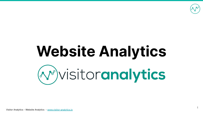

# **Website Analytics** (v) visitoranalytics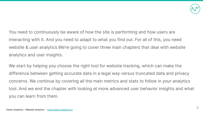

You need to continuously be aware of how the site is performing and how users are interacting with it. And you need to adapt to what you find out. For all of this, you need website & user analytics.We're going to cover three main chapters that deal with website analytics and user insights.

We start by helping you choose the right tool for website tracking, which can make the difference between getting accurate data in a legal way versus truncated data and privacy concerns. We continue by covering all the main metrics and stats to follow in your analytics tool. And we end the chapter with looking at more advanced user behavior insights and what you can learn from them.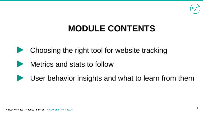

## **MODULE CONTENTS**



Choosing the right tool for website tracking

Metrics and stats to follow



User behavior insights and what to learn from them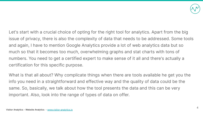

Let's start with a crucial choice of opting for the right tool for analytics. Apart from the big issue of privacy, there is also the complexity of data that needs to be addressed. Some tools and again, I have to mention Google Analytics provide a lot of web analytics data but so much so that it becomes too much, overwhelming graphs and stat charts with tons of numbers. You need to get a certified expert to make sense of it all and there's actually a certification for this specific purpose.

What is that all about? Why complicate things when there are tools available he get you the info you need in a straightforward and effective way and the quality of data could be the same. So, basically, we talk about how the tool presents the data and this can be very important. Also, look into the range of types of data on offer.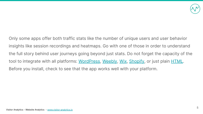

Only some apps offer both traffic stats like the number of unique users and user behavior insights like session recordings and heatmaps. Go with one of those in order to understand the full story behind user journeys going beyond just stats. Do not forget the capacity of the tool to integrate with all platforms: [WordPress,](https://go2page.org/DMPresentation1) [Weebly](https://go2page.org/DMPresentation2), [Wix,](https://go2page.org/DMPresentation3) [Shopify,](https://go2page.org/DMPresentation4) or just plain [HTML](https://go2page.org/DMPresentation5). Before you install, check to see that the app works well with your platform.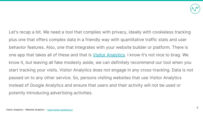

Let's recap a bit. We need a tool that complies with privacy, ideally with cookieless tracking plus one that offers complex data in a friendly way with quantitative traffic stats and user behavior features. Also, one that integrates with your website builder or platform. There is one app that takes all of these and that is [Visitor Analytics](https://go2page.org/DMPresentation6). I know it's not nice to brag. We know it, but leaving all fake modesty aside, we can definitely recommend our tool when you start tracking your visits. Visitor Analytics does not engage in any cross-tracking. Data is not passed on to any other service. So, persons visiting websites that use Visitor Analytics instead of Google Analytics and ensure that users and their activity will not be used or potently introducing advertising activities.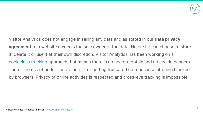

Visitor Analytics does not engage in selling any data and as stated in our **data privacy agreement** to a website owner is the sole owner of the data. He or she can choose to store it, delete it or use it at their own discretion. Visitor Analytics has been working on a [cookieless tracking](https://go2page.org/DMPresentation7) approach that means there is no need to obtain and no cookie banners. There's no risk of finds. There's no risk of getting truncated data because of being blocked by browsers. Privacy of online activities is respected and cross-eye tracking is impossible.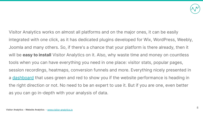

Visitor Analytics works on almost all platforms and on the major ones, it can be easily integrated with one click, as it has dedicated plugins developed for Wix, WordPress, Weebly, Joomla and many others. So, if there's a chance that your platform is there already, then it will be **easy to install** Visitor Analytics on it. Also, why waste time and money on countless tools when you can have everything you need in one place: visitor stats, popular pages, session recordings, heatmaps, conversion funnels and more. Everything nicely presented in a [dashboard](https://go2page.org/DMPresentation8) that uses green and red to show you if the website performance is heading in the right direction or not. No need to be an expert to use it. But if you are one, even better as you can go in-depth with your analysis of data.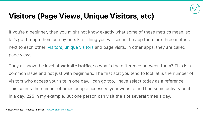

#### **Visitors (Page Views, Unique Visitors, etc)**

If you're a beginner, then you might not know exactly what some of these metrics mean, so let's go through them one by one. First thing you will see in the app there are three metrics next to each other: [visitors, unique visitors](https://go2page.org/DMPresentation9) and page visits. In other apps, they are called page views.

They all show the level of **website traffic**, so what's the difference between them? This is a common issue and not just with beginners. The first stat you tend to look at is the number of visitors who access your site in one day. I can go too, I have select today as a reference. This counts the number of times people accessed your website and had some activity on it in a day. 225 in my example. But one person can visit the site several times a day.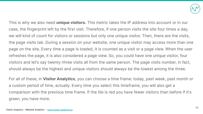

This is why we also need **unique visitors.** This metric takes the IP address into account or in our case, the fingerprint left by the first visit. Therefore, if one person visits the site four times a day, we will kind of count for visitors or sessions but only one unique visitor. Then, there are the visits, the page visits tab. During a session on your website, one unique visitor may access more than one page on the site. Every time a page is loaded, it is counted as a visit or a page view. When the user refreshes the page, it is also considered a page view. So, you could have one unique visitor, four visitors and let's say twenty-three visits all from the same person. The page visits number, in fact, should always be the highest and unique visitors should always be the lowest among the three.

For all of these, in **Visitor Analytics**, you can choose a time frame: today, past week, past month or a custom period of time, actually. Every time you select this timeframe, you will also get a comparison with the previous time frame. If the tile is red you have fewer visitors than before if it's green, you have more.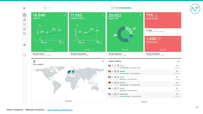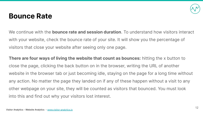

#### **Bounce Rate**

We continue with the **bounce rate and session duration**. To understand how visitors interact with your website, check the bounce rate of your site. It will show you the percentage of visitors that close your website after seeing only one page.

**There are four ways of living the website that count as bounces:** hitting the x button to close the page, clicking the back button on in the browser, writing the URL of another website in the browser tab or just becoming idle, staying on the page for a long time without any action. No matter the page they landed on if any of these happen without a visit to any other webpage on your site, they will be counted as visitors that bounced. You must look into this and find out why your visitors lost interest.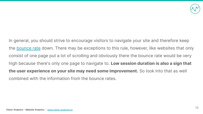

In general, you should strive to encourage visitors to navigate your site and therefore keep the [bounce rate](https://go2page.org/DMPresentation10) down. There may be exceptions to this rule, however, like websites that only consist of one page put a lot of scrolling and obviously there the bounce rate would be very high because there's only one page to navigate to. **Low session duration is also a sign that the user experience on your site may need some improvement.** So look into that as well combined with the information from the bounce rates.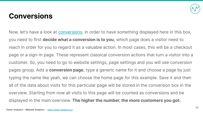

#### **Conversions**

Now, let's have a look at **conversions**. In order to have something displayed here in this box, you need to first **decide what a conversion is to you**, which page does a visitor need to reach in order for you to regard it as a valuable action. In most cases, this will be a checkout page or a sign-in page. These represent classical conversion actions that turn a visitor into a customer. So, you need to go to website settings, page settings and you will see conversion pages group. Add a **conversion page**, type a generic name for it and choose a page by just typing the name like yeah, we can choose the home page for this example. Save it and then all of the data about visits for this particular page will be stored in the conversion box in the overview. Starting from now all visits to this page will be counted as conversions and be displayed in the main overview. **The higher the number, the more customers you got.**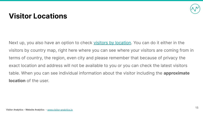

#### **Visitor Locations**

Next up, you also have an option to check <u>visitors by location</u>. You can do it either in the visitors by country map, right here where you can see where your visitors are coming from in terms of country, the region, even city and please remember that because of privacy the exact location and address will not be available to you or you can check the latest visitors table. When you can see individual information about the visitor including the **approximate location** of the user.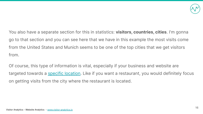

You also have a separate section for this in statistics: **visitors, countries, cities**. I'm gonna go to that section and you can see here that we have in this example the most visits come from the United States and Munich seems to be one of the top cities that we get visitors from.

Of course, this type of information is vital, especially if your business and website are targeted towards a [specific location](https://go2page.org/DMPresentation12). Like if you want a restaurant, you would definitely focus on getting visits from the city where the restaurant is located.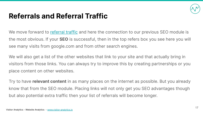

#### **Referrals and Referral Traffic**

We move forward to [referral traffic](https://go2page.org/DMPresentation13) and here the connection to our previous SEO module is the most obvious. If your **SEO** is successful, then in the top refers box you see here you will see many visits from google.com and from other search engines.

We will also get a list of the other websites that link to your site and that actually bring in visitors from those links. You can always try to improve this by creating partnerships or you place content on other websites.

Try to have **relevant content** in as many places on the internet as possible. But you already know that from the SEO module. Placing links will not only get you SEO advantages though but also potential extra traffic then your list of referrals will become longer.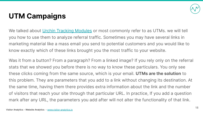

### **UTM Campaigns**

We talked about [Urchin Tracking Modules](https://go2page.org/DMPresentation14) or most commonly refer to as UTMs. we will tell you how to use them to analyze referral traffic. Sometimes you may have several links in marketing material like a mass email you send to potential customers and you would like to know exactly which of these links brought you the most traffic to your website.

Was it from a button? From a paragraph? From a linked image? If you rely only on the referral stats that we showed you before there is no way to know these particulars. You only see these clicks coming from the same source, which is your email. **UTMs are the solution** to this problem. They are parameters that you add to a link without changing its destination. At the same time, having them there provides extra information about the link and the number of visitors that reach your site through that particular URL. In practice, If you add a question mark after any URL, the parameters you add after will not alter the functionality of that link.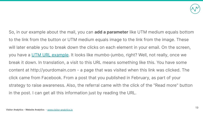![](_page_18_Picture_0.jpeg)

So, in our example about the mail, you can **add a parameter** like UTM medium equals bottom to the link from the button or UTM medium equals image to the link from the image. These will later enable you to break down the clicks on each element in your email. On the screen, you have a [UTM URL example](https://go2page.org/DMPresentation15). It looks like mumbo-jumbo, right? Well, not really, once we break it down. In translation, a visit to this URL means something like this. You have some content at http://yourdomain.com - a page that was visited when this link was clicked. The click came from Facebook. From a post that you published in February, as part of your strategy to raise awareness. Also, the referral came with the click of the "Read more" button in the post. I can get all this information just by reading the URL.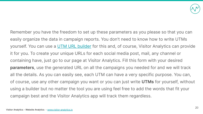![](_page_19_Picture_0.jpeg)

Remember you have the freedom to set up these parameters as you please so that you can easily organize the data in campaign reports. You don't need to know how to write UTMs yourself. You can use a [UTM URL builder](https://go2page.org/DMPresentation16) for this and, of course, Visitor Analytics can provide it for you. To create your unique URLs for each social media post, mail, any channel or containing have, just go to our page at Visitor Analytics. Fill this form with your desired **parameters**, use the generated URL on all the campaigns you needed for and we will track all the details. As you can easily see, each UTM can have a very specific purpose. You can, of course, use any other campaign you want or you can just write **UTMs** for yourself, without using a builder but no matter the tool you are using feel free to add the words that fit your campaign best and the Visitor Analytics app will track them regardless.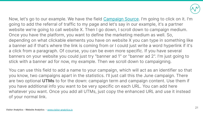![](_page_20_Picture_0.jpeg)

Now, let's go to our example. We have the field [Campaign Source](https://go2page.org/DMPresentation17). I'm going to click on it. I'm going to add the referral of traffic to my page and let's say in our example, it's a partner website we're going to call website X. Then I go down, I scroll down to campaign medium. Once you have the platform, you want to define the marketing medium as well. So, depending on what clickable elements you have on website X you can type in something like a banner ad if that's where the link is coming from or I could just write a word hyperlink if it's a click from a paragraph. Of course, you can be even more specific. If you have several banners on your website you could just try "banner ad 1" or "banner ad 2". I'm just going to stick with a banner ad for now, my example. Then we scroll down to campaigning.

You can use this field to add a name to your campaign, which will act as an identifier so that you know, two campaigns apart in the statistics. I'll just call this the June campaign. There are two optional **UTMs** to for the down: campaign term and campaign content. Use them if you have additional info you want to be very specific on each URL. You can add here whatever you want. Once you add all UTMs, just copy the enhanced URL and use it instead of your normal link.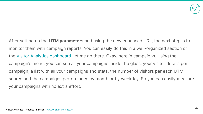![](_page_21_Picture_0.jpeg)

After setting up the **UTM parameters** and using the new enhanced URL, the next step is to monitor them with campaign reports. You can easily do this in a well-organized section of the [Visitor Analytics dashboard,](https://go2page.org/DMPresentation17) let me go there. Okay, here in campaigns. Using the campaign's menu, you can see all your campaigns inside the glass, your visitor details per campaign, a list with all your campaigns and stats, the number of visitors per each UTM source and the campaigns performance by month or by weekday. So you can easily measure your campaigns with no extra effort.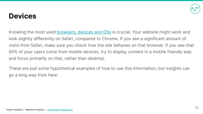#### **Devices**

Knowing the most used [browsers, devices and OSs](https://go2page.org/DMPresentation19) is crucial. Your website might work and look slightly differently on Safari, compared to Chrome. If you see a significant amount of visits from Safari, make sure you check how the site behaves on that browser. If you see that 90% of your users come from mobile devices, try to display content in a mobile friendly way and focus primarily on that, rather than desktop.

These are just some hypothetical examples of how to use this information, but insights can go a long way from here.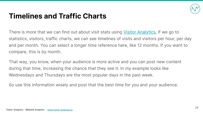![](_page_23_Picture_0.jpeg)

#### **Timelines and Traffic Charts**

There is more that we can find out about visit stats using [Visitor Analytics.](https://go2page.org/DMPresentation12) If we go to statistics, visitors, traffic charts, we can see timelines of visits and visitors per hour, per day and per month. You can select a longer time reference here, like 12 months. If you want to compare, this is by month.

That way, you know, when your audience is more active and you can post new content during that time, increasing the chance that they see it. In my example looks like Wednesdays and Thursdays are the most popular days in the past week.

So use this information wisely and post that the best time for you and your audience.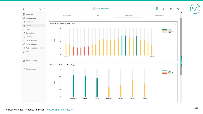![](_page_24_Figure_0.jpeg)